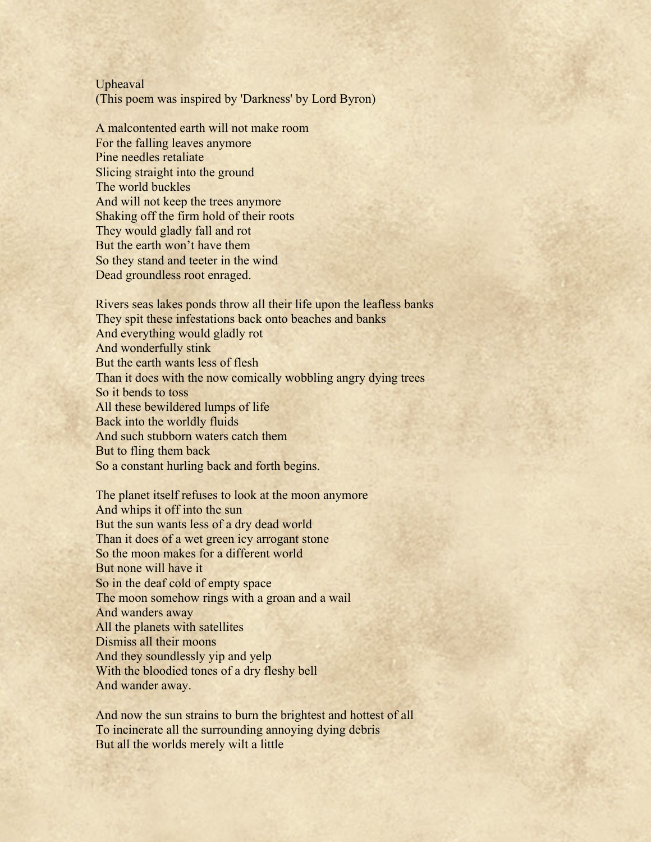Upheaval (This poem was inspired by 'Darkness' by Lord Byron)

A malcontented earth will not make room For the falling leaves anymore Pine needles retaliate Slicing straight into the ground The world buckles And will not keep the trees anymore Shaking off the firm hold of their roots They would gladly fall and rot But the earth won't have them So they stand and teeter in the wind Dead groundless root enraged.

Rivers seas lakes ponds throw all their life upon the leafless banks They spit these infestations back onto beaches and banks And everything would gladly rot And wonderfully stink But the earth wants less of flesh Than it does with the now comically wobbling angry dying trees So it bends to toss All these bewildered lumps of life Back into the worldly fluids And such stubborn waters catch them But to fling them back So a constant hurling back and forth begins.

The planet itself refuses to look at the moon anymore And whips it off into the sun But the sun wants less of a dry dead world Than it does of a wet green icy arrogant stone So the moon makes for a different world But none will have it So in the deaf cold of empty space The moon somehow rings with a groan and a wail And wanders away All the planets with satellites Dismiss all their moons And they soundlessly yip and yelp With the bloodied tones of a dry fleshy bell And wander away.

And now the sun strains to burn the brightest and hottest of all To incinerate all the surrounding annoying dying debris But all the worlds merely wilt a little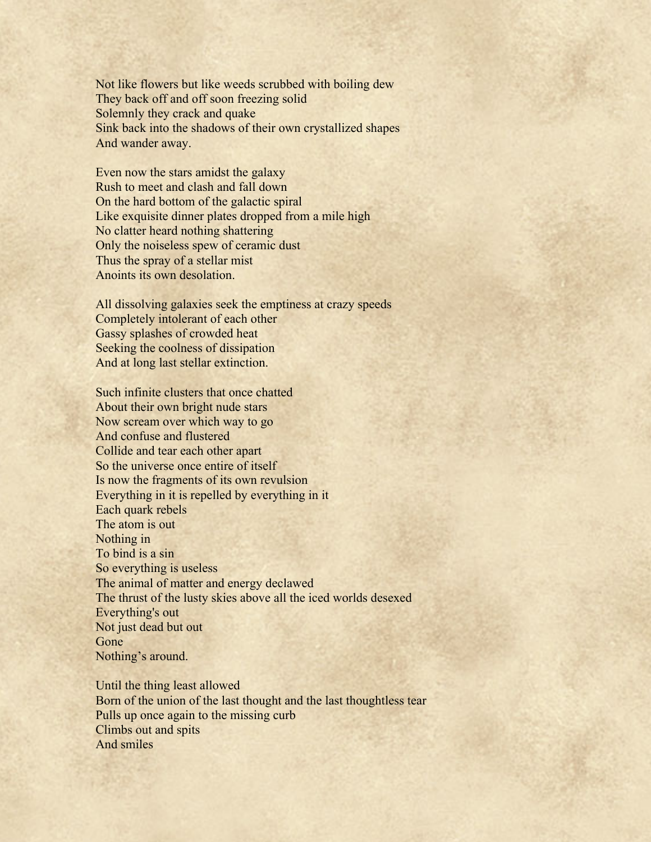Not like flowers but like weeds scrubbed with boiling dew They back off and off soon freezing solid Solemnly they crack and quake Sink back into the shadows of their own crystallized shapes And wander away.

Even now the stars amidst the galaxy Rush to meet and clash and fall down On the hard bottom of the galactic spiral Like exquisite dinner plates dropped from a mile high No clatter heard nothing shattering Only the noiseless spew of ceramic dust Thus the spray of a stellar mist Anoints its own desolation.

All dissolving galaxies seek the emptiness at crazy speeds Completely intolerant of each other Gassy splashes of crowded heat Seeking the coolness of dissipation And at long last stellar extinction.

Such infinite clusters that once chatted About their own bright nude stars Now scream over which way to go And confuse and flustered Collide and tear each other apart So the universe once entire of itself Is now the fragments of its own revulsion Everything in it is repelled by everything in it Each quark rebels The atom is out Nothing in To bind is a sin So everything is useless The animal of matter and energy declawed The thrust of the lusty skies above all the iced worlds desexed Everything's out Not just dead but out Gone Nothing's around.

Until the thing least allowed Born of the union of the last thought and the last thoughtless tear Pulls up once again to the missing curb Climbs out and spits And smiles